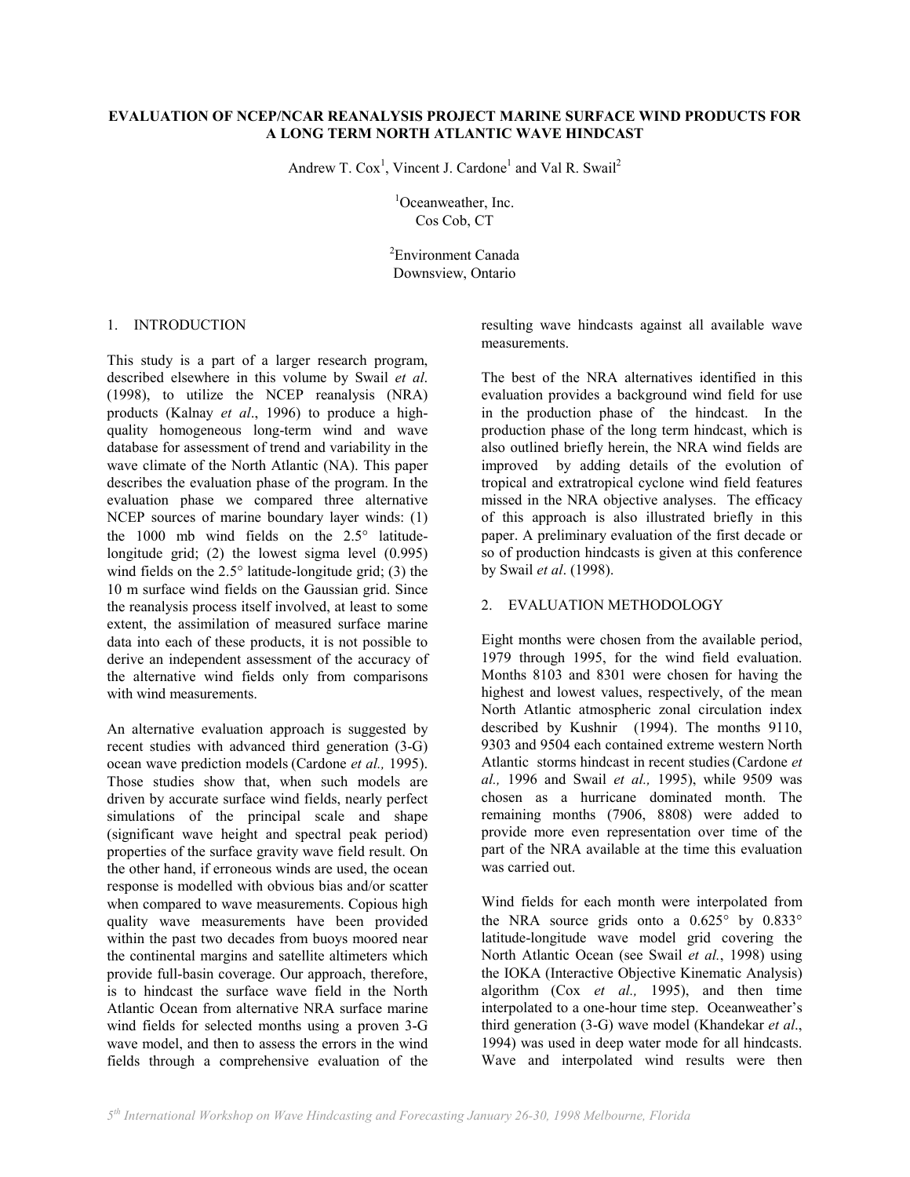## **EVALUATION OF NCEP/NCAR REANALYSIS PROJECT MARINE SURFACE WIND PRODUCTS FOR A LONG TERM NORTH ATLANTIC WAVE HINDCAST**

Andrew T. Cox<sup>1</sup>, Vincent J. Cardone<sup>1</sup> and Val R. Swail<sup>2</sup>

<sup>1</sup>Oceanweather, Inc. Cos Cob, CT

2 Environment Canada Downsview, Ontario

### 1. INTRODUCTION

This study is a part of a larger research program, described elsewhere in this volume by Swail *et al*. (1998), to utilize the NCEP reanalysis (NRA) products (Kalnay *et al*., 1996) to produce a highquality homogeneous long-term wind and wave database for assessment of trend and variability in the wave climate of the North Atlantic (NA). This paper describes the evaluation phase of the program. In the evaluation phase we compared three alternative NCEP sources of marine boundary layer winds: (1) the 1000 mb wind fields on the 2.5° latitudelongitude grid; (2) the lowest sigma level (0.995) wind fields on the 2.5° latitude-longitude grid; (3) the 10 m surface wind fields on the Gaussian grid. Since the reanalysis process itself involved, at least to some extent, the assimilation of measured surface marine data into each of these products, it is not possible to derive an independent assessment of the accuracy of the alternative wind fields only from comparisons with wind measurements.

An alternative evaluation approach is suggested by recent studies with advanced third generation (3-G) ocean wave prediction models (Cardone *et al.,* 1995). Those studies show that, when such models are driven by accurate surface wind fields, nearly perfect simulations of the principal scale and shape (significant wave height and spectral peak period) properties of the surface gravity wave field result. On the other hand, if erroneous winds are used, the ocean response is modelled with obvious bias and/or scatter when compared to wave measurements. Copious high quality wave measurements have been provided within the past two decades from buoys moored near the continental margins and satellite altimeters which provide full-basin coverage. Our approach, therefore, is to hindcast the surface wave field in the North Atlantic Ocean from alternative NRA surface marine wind fields for selected months using a proven 3-G wave model, and then to assess the errors in the wind fields through a comprehensive evaluation of the resulting wave hindcasts against all available wave measurements.

The best of the NRA alternatives identified in this evaluation provides a background wind field for use in the production phase of the hindcast. In the production phase of the long term hindcast, which is also outlined briefly herein, the NRA wind fields are improved by adding details of the evolution of tropical and extratropical cyclone wind field features missed in the NRA objective analyses. The efficacy of this approach is also illustrated briefly in this paper. A preliminary evaluation of the first decade or so of production hindcasts is given at this conference by Swail *et al*. (1998).

## 2. EVALUATION METHODOLOGY

Eight months were chosen from the available period, 1979 through 1995, for the wind field evaluation. Months 8103 and 8301 were chosen for having the highest and lowest values, respectively, of the mean North Atlantic atmospheric zonal circulation index described by Kushnir (1994). The months 9110, 9303 and 9504 each contained extreme western North Atlantic storms hindcast in recent studies(Cardone *et al.,* 1996 and Swail *et al.,* 1995), while 9509 was chosen as a hurricane dominated month. The remaining months (7906, 8808) were added to provide more even representation over time of the part of the NRA available at the time this evaluation was carried out.

Wind fields for each month were interpolated from the NRA source grids onto a 0.625° by 0.833° latitude-longitude wave model grid covering the North Atlantic Ocean (see Swail *et al.*, 1998) using the IOKA (Interactive Objective Kinematic Analysis) algorithm (Cox *et al.,* 1995), and then time interpolated to a one-hour time step. Oceanweather's third generation (3-G) wave model (Khandekar *et al*., 1994) was used in deep water mode for all hindcasts. Wave and interpolated wind results were then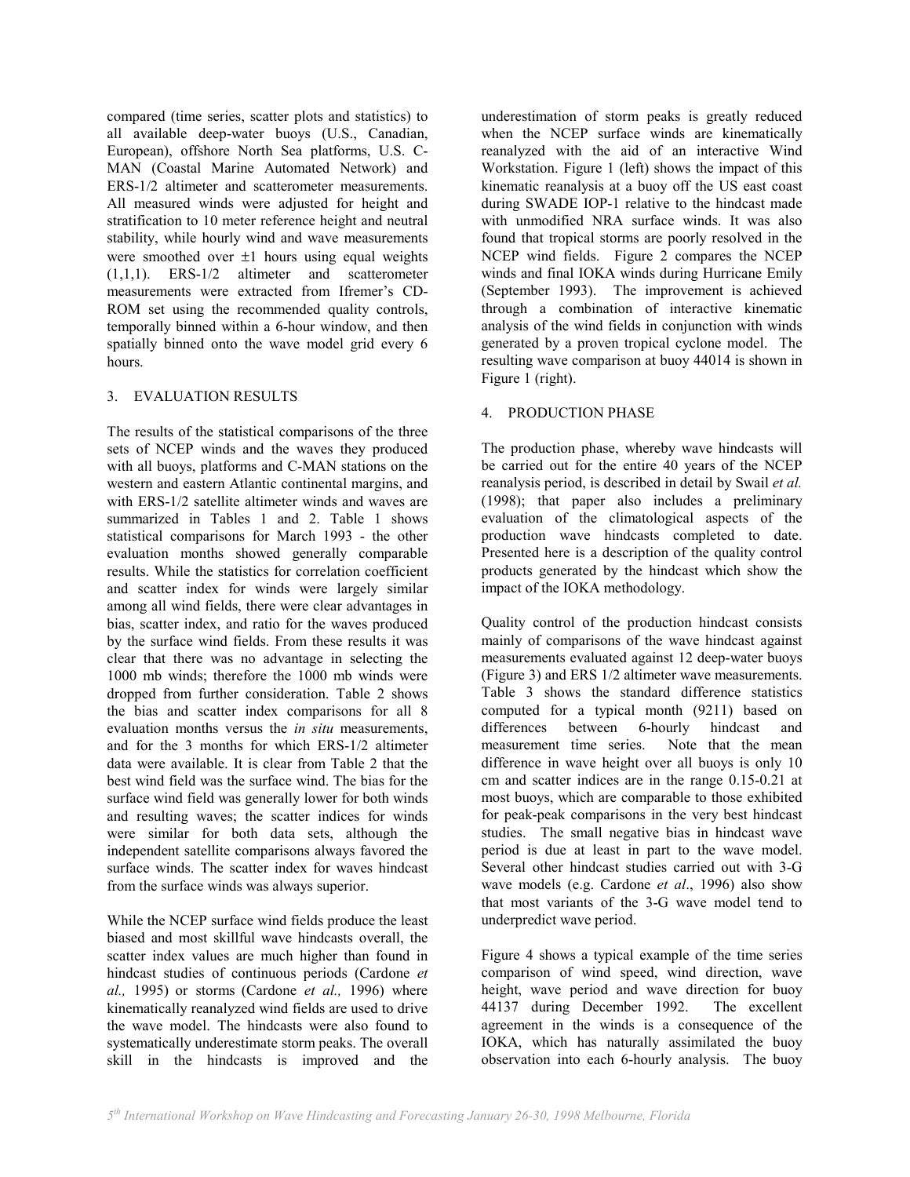compared (time series, scatter plots and statistics) to all available deep-water buoys (U.S., Canadian, European), offshore North Sea platforms, U.S. C-MAN (Coastal Marine Automated Network) and ERS-1/2 altimeter and scatterometer measurements. All measured winds were adjusted for height and stratification to 10 meter reference height and neutral stability, while hourly wind and wave measurements were smoothed over  $\pm 1$  hours using equal weights (1,1,1). ERS-1/2 altimeter and scatterometer measurements were extracted from Ifremer's CD-ROM set using the recommended quality controls, temporally binned within a 6-hour window, and then spatially binned onto the wave model grid every 6 hours.

# 3. EVALUATION RESULTS

The results of the statistical comparisons of the three sets of NCEP winds and the waves they produced with all buoys, platforms and C-MAN stations on the western and eastern Atlantic continental margins, and with ERS-1/2 satellite altimeter winds and waves are summarized in Tables 1 and 2. Table 1 shows statistical comparisons for March 1993 - the other evaluation months showed generally comparable results. While the statistics for correlation coefficient and scatter index for winds were largely similar among all wind fields, there were clear advantages in bias, scatter index, and ratio for the waves produced by the surface wind fields. From these results it was clear that there was no advantage in selecting the 1000 mb winds; therefore the 1000 mb winds were dropped from further consideration. Table 2 shows the bias and scatter index comparisons for all 8 evaluation months versus the *in situ* measurements, and for the 3 months for which ERS-1/2 altimeter data were available. It is clear from Table 2 that the best wind field was the surface wind. The bias for the surface wind field was generally lower for both winds and resulting waves; the scatter indices for winds were similar for both data sets, although the independent satellite comparisons always favored the surface winds. The scatter index for waves hindcast from the surface winds was always superior.

While the NCEP surface wind fields produce the least biased and most skillful wave hindcasts overall, the scatter index values are much higher than found in hindcast studies of continuous periods (Cardone *et al.,* 1995) or storms (Cardone *et al.,* 1996) where kinematically reanalyzed wind fields are used to drive the wave model. The hindcasts were also found to systematically underestimate storm peaks. The overall skill in the hindcasts is improved and the

underestimation of storm peaks is greatly reduced when the NCEP surface winds are kinematically reanalyzed with the aid of an interactive Wind Workstation. Figure 1 (left) shows the impact of this kinematic reanalysis at a buoy off the US east coast during SWADE IOP-1 relative to the hindcast made with unmodified NRA surface winds. It was also found that tropical storms are poorly resolved in the NCEP wind fields. Figure 2 compares the NCEP winds and final IOKA winds during Hurricane Emily (September 1993). The improvement is achieved through a combination of interactive kinematic analysis of the wind fields in conjunction with winds generated by a proven tropical cyclone model. The resulting wave comparison at buoy 44014 is shown in Figure 1 (right).

# 4. PRODUCTION PHASE

The production phase, whereby wave hindcasts will be carried out for the entire 40 years of the NCEP reanalysis period, is described in detail by Swail *et al.* (1998); that paper also includes a preliminary evaluation of the climatological aspects of the production wave hindcasts completed to date. Presented here is a description of the quality control products generated by the hindcast which show the impact of the IOKA methodology.

Quality control of the production hindcast consists mainly of comparisons of the wave hindcast against measurements evaluated against 12 deep-water buoys (Figure 3) and ERS 1/2 altimeter wave measurements. Table 3 shows the standard difference statistics computed for a typical month (9211) based on differences between 6-hourly hindcast and measurement time series. Note that the mean difference in wave height over all buoys is only 10 cm and scatter indices are in the range 0.15-0.21 at most buoys, which are comparable to those exhibited for peak-peak comparisons in the very best hindcast studies. The small negative bias in hindcast wave period is due at least in part to the wave model. Several other hindcast studies carried out with 3-G wave models (e.g. Cardone *et al*., 1996) also show that most variants of the 3-G wave model tend to underpredict wave period.

Figure 4 shows a typical example of the time series comparison of wind speed, wind direction, wave height, wave period and wave direction for buoy 44137 during December 1992. The excellent agreement in the winds is a consequence of the IOKA, which has naturally assimilated the buoy observation into each 6-hourly analysis. The buoy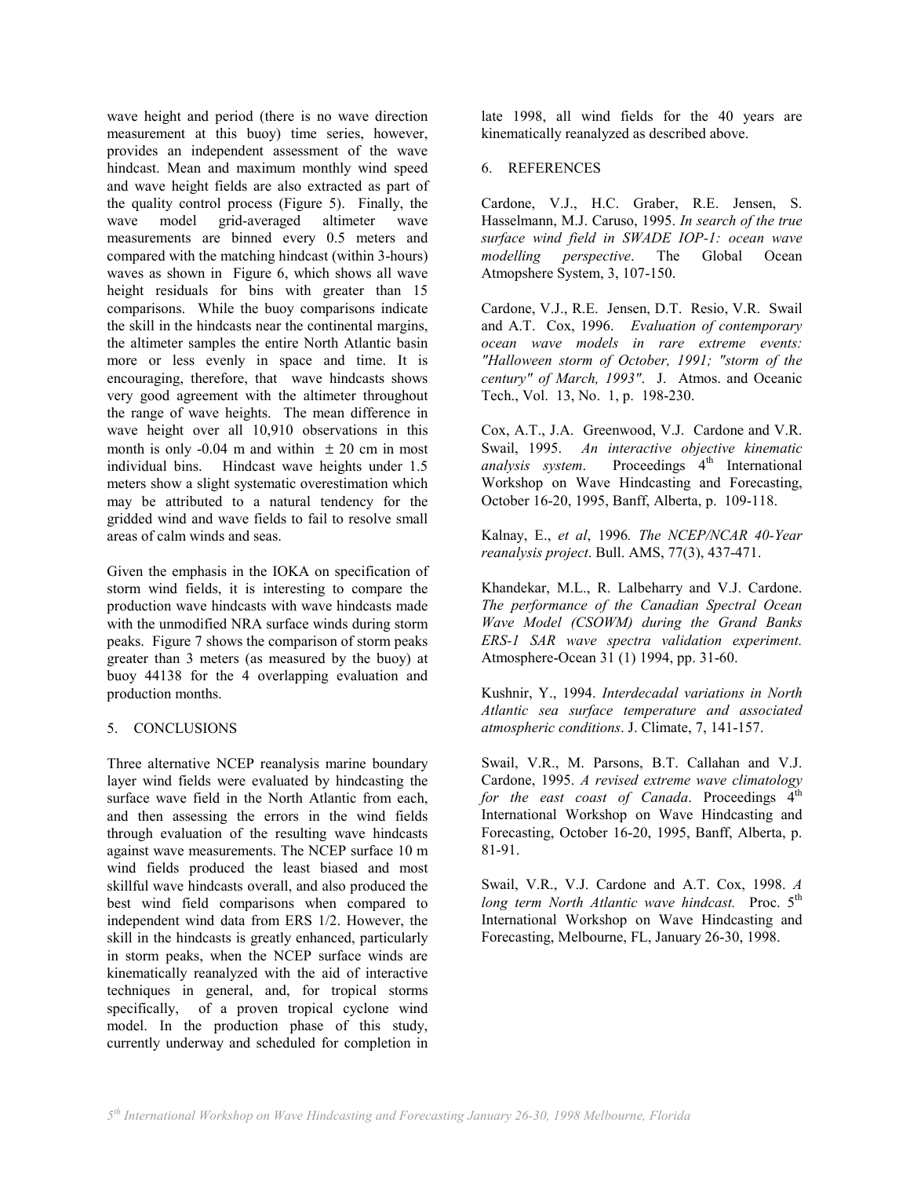wave height and period (there is no wave direction measurement at this buoy) time series, however, provides an independent assessment of the wave hindcast. Mean and maximum monthly wind speed and wave height fields are also extracted as part of the quality control process (Figure 5). Finally, the wave model grid-averaged altimeter wave measurements are binned every 0.5 meters and compared with the matching hindcast (within 3-hours) waves as shown in Figure 6, which shows all wave height residuals for bins with greater than 15 comparisons. While the buoy comparisons indicate the skill in the hindcasts near the continental margins, the altimeter samples the entire North Atlantic basin more or less evenly in space and time. It is encouraging, therefore, that wave hindcasts shows very good agreement with the altimeter throughout the range of wave heights. The mean difference in wave height over all 10,910 observations in this month is only -0.04 m and within  $\pm 20$  cm in most individual bins. Hindcast wave heights under 1.5 meters show a slight systematic overestimation which may be attributed to a natural tendency for the gridded wind and wave fields to fail to resolve small areas of calm winds and seas.

Given the emphasis in the IOKA on specification of storm wind fields, it is interesting to compare the production wave hindcasts with wave hindcasts made with the unmodified NRA surface winds during storm peaks. Figure 7 shows the comparison of storm peaks greater than 3 meters (as measured by the buoy) at buoy 44138 for the 4 overlapping evaluation and production months.

# 5. CONCLUSIONS

Three alternative NCEP reanalysis marine boundary layer wind fields were evaluated by hindcasting the surface wave field in the North Atlantic from each, and then assessing the errors in the wind fields through evaluation of the resulting wave hindcasts against wave measurements. The NCEP surface 10 m wind fields produced the least biased and most skillful wave hindcasts overall, and also produced the best wind field comparisons when compared to independent wind data from ERS 1/2. However, the skill in the hindcasts is greatly enhanced, particularly in storm peaks, when the NCEP surface winds are kinematically reanalyzed with the aid of interactive techniques in general, and, for tropical storms specifically, of a proven tropical cyclone wind model. In the production phase of this study, currently underway and scheduled for completion in

late 1998, all wind fields for the 40 years are kinematically reanalyzed as described above.

## 6. REFERENCES

Cardone, V.J., H.C. Graber, R.E. Jensen, S. Hasselmann, M.J. Caruso, 1995. *In search of the true surface wind field in SWADE IOP-1: ocean wave modelling perspective*. The Global Ocean Atmopshere System, 3, 107-150.

Cardone, V.J., R.E. Jensen, D.T. Resio, V.R. Swail and A.T. Cox, 1996. *Evaluation of contemporary ocean wave models in rare extreme events: "Halloween storm of October, 1991; "storm of the century" of March, 1993"*. J. Atmos. and Oceanic Tech., Vol. 13, No. 1, p. 198-230.

Cox, A.T., J.A. Greenwood, V.J. Cardone and V.R. Swail, 1995. *An interactive objective kinematic analysis system*. Proceedings 4<sup>th</sup> International Workshop on Wave Hindcasting and Forecasting, October 16-20, 1995, Banff, Alberta, p. 109-118.

Kalnay, E., *et al*, 1996*. The NCEP/NCAR 40-Year reanalysis project*. Bull. AMS, 77(3), 437-471.

Khandekar, M.L., R. Lalbeharry and V.J. Cardone. *The performance of the Canadian Spectral Ocean Wave Model (CSOWM) during the Grand Banks ERS-1 SAR wave spectra validation experiment.*  Atmosphere-Ocean 31 (1) 1994, pp. 31-60.

Kushnir, Y., 1994. *Interdecadal variations in North Atlantic sea surface temperature and associated atmospheric conditions*. J. Climate, 7, 141-157.

Swail, V.R., M. Parsons, B.T. Callahan and V.J. Cardone, 1995. *A revised extreme wave climatology for the east coast of Canada*. Proceedings  $4<sup>th</sup>$ International Workshop on Wave Hindcasting and Forecasting, October 16-20, 1995, Banff, Alberta, p. 81-91.

Swail, V.R., V.J. Cardone and A.T. Cox, 1998. *A long term North Atlantic wave hindcast.* Proc. 5<sup>th</sup> International Workshop on Wave Hindcasting and Forecasting, Melbourne, FL, January 26-30, 1998.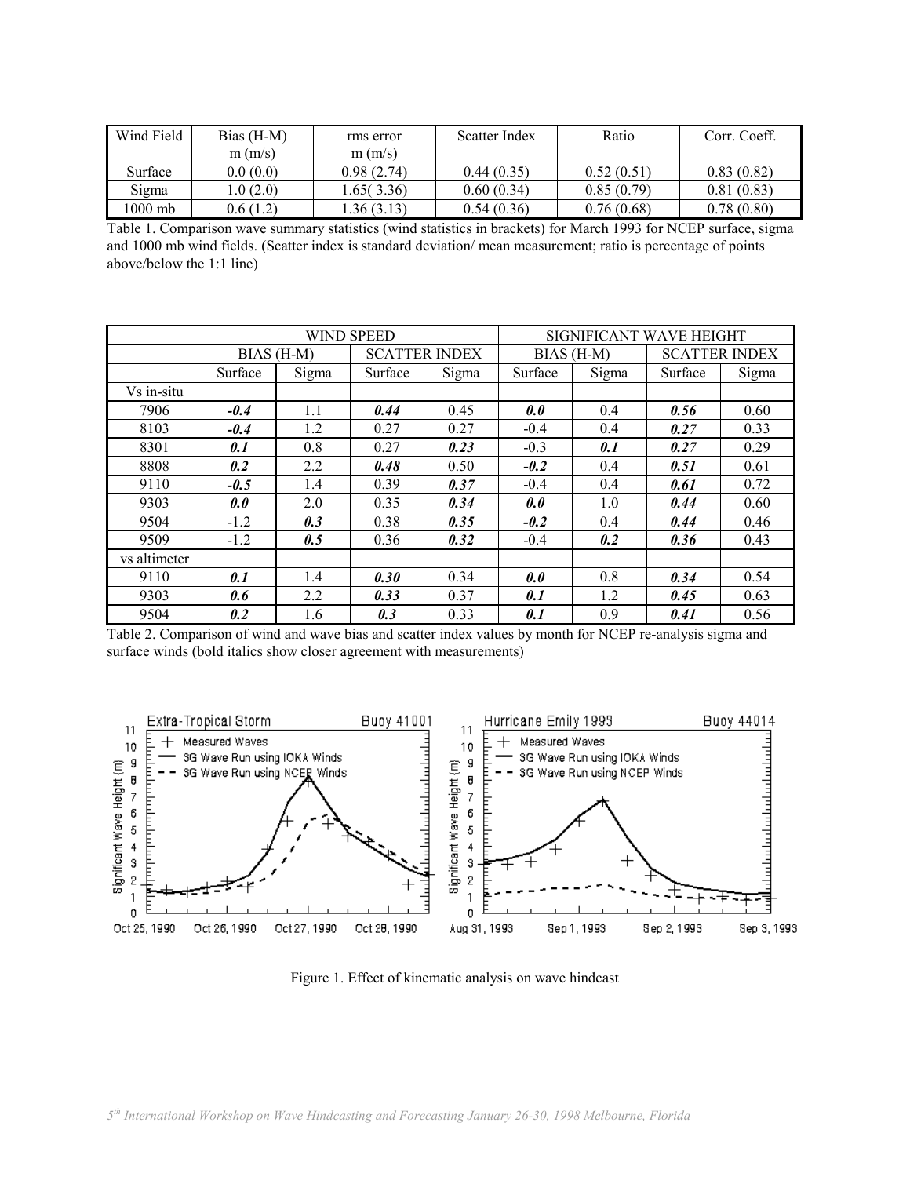| Wind Field | Bias $(H-M)$ | rms error  | Scatter Index | Ratio      | Corr. Coeff. |  |
|------------|--------------|------------|---------------|------------|--------------|--|
|            | m(m/s)       | m(m/s)     |               |            |              |  |
| Surface    | 0.0(0.0)     | 0.98(2.74) | 0.44(0.35)    | 0.52(0.51) | 0.83(0.82)   |  |
| Sigma      | .0(2.0)      | .65(3.36)  | 0.60(0.34)    | 0.85(0.79) | 0.81(0.83)   |  |
| 1000 mb    | 0.6(1.2)     | .36(3.13)  | 0.54(0.36)    | 0.76(0.68) | 0.78(0.80)   |  |

Table 1. Comparison wave summary statistics (wind statistics in brackets) for March 1993 for NCEP surface, sigma and 1000 mb wind fields. (Scatter index is standard deviation/ mean measurement; ratio is percentage of points above/below the 1:1 line)

|              |            |       | <b>WIND SPEED</b>    |       | SIGNIFICANT WAVE HEIGHT |       |                      |       |  |
|--------------|------------|-------|----------------------|-------|-------------------------|-------|----------------------|-------|--|
|              | BIAS (H-M) |       | <b>SCATTER INDEX</b> |       | BIAS (H-M)              |       | <b>SCATTER INDEX</b> |       |  |
|              | Surface    | Sigma | Surface              | Sigma | Surface                 | Sigma | Surface              | Sigma |  |
| Vs in-situ   |            |       |                      |       |                         |       |                      |       |  |
| 7906         | $-0.4$     | 1.1   | 0.44                 | 0.45  | 0.0                     | 0.4   | 0.56                 | 0.60  |  |
| 8103         | $-0.4$     | 1.2   | 0.27                 | 0.27  | $-0.4$                  | 0.4   | 0.27                 | 0.33  |  |
| 8301         | 0.1        | 0.8   | 0.27                 | 0.23  | $-0.3$                  | 0.1   | 0.27                 | 0.29  |  |
| 8808         | 0.2        | 2.2   | 0.48                 | 0.50  | $-0.2$                  | 0.4   | 0.51                 | 0.61  |  |
| 9110         | $-0.5$     | 1.4   | 0.39                 | 0.37  | $-0.4$                  | 0.4   | 0.61                 | 0.72  |  |
| 9303         | 0.0        | 2.0   | 0.35                 | 0.34  | 0.0                     | 1.0   | 0.44                 | 0.60  |  |
| 9504         | $-1.2$     | 0.3   | 0.38                 | 0.35  | $-0.2$                  | 0.4   | 0.44                 | 0.46  |  |
| 9509         | $-1.2$     | 0.5   | 0.36                 | 0.32  | $-0.4$                  | 0.2   | 0.36                 | 0.43  |  |
| vs altimeter |            |       |                      |       |                         |       |                      |       |  |
| 9110         | 0.1        | 1.4   | 0.30                 | 0.34  | 0.0                     | 0.8   | 0.34                 | 0.54  |  |
| 9303         | 0.6        | 2.2   | 0.33                 | 0.37  | 0.1                     | 1.2   | 0.45                 | 0.63  |  |
| 9504         | 0.2        | 1.6   | 0.3                  | 0.33  | 0.1                     | 0.9   | 0.41                 | 0.56  |  |

Table 2. Comparison of wind and wave bias and scatter index values by month for NCEP re-analysis sigma and surface winds (bold italics show closer agreement with measurements)



Figure 1. Effect of kinematic analysis on wave hindcast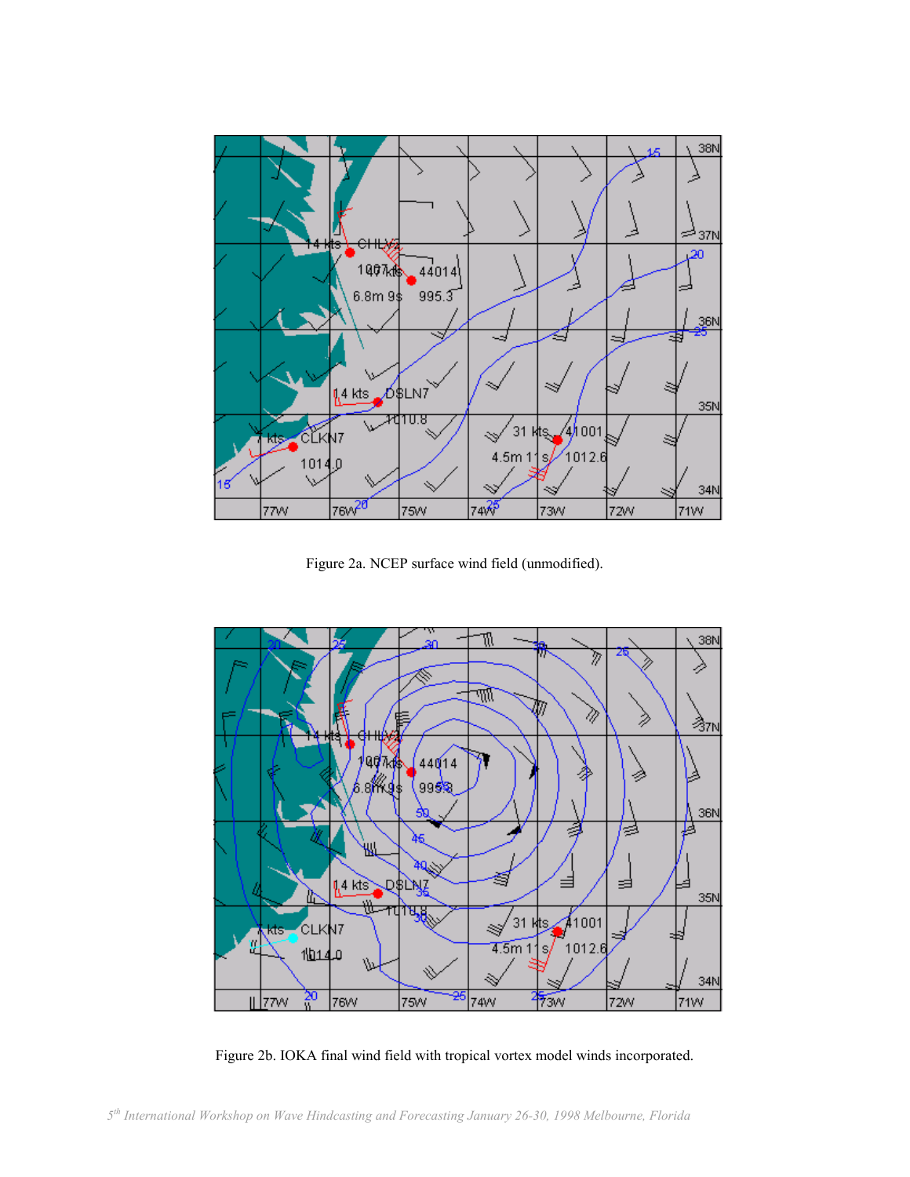

Figure 2a. NCEP surface wind field (unmodified).



Figure 2b. IOKA final wind field with tropical vortex model winds incorporated.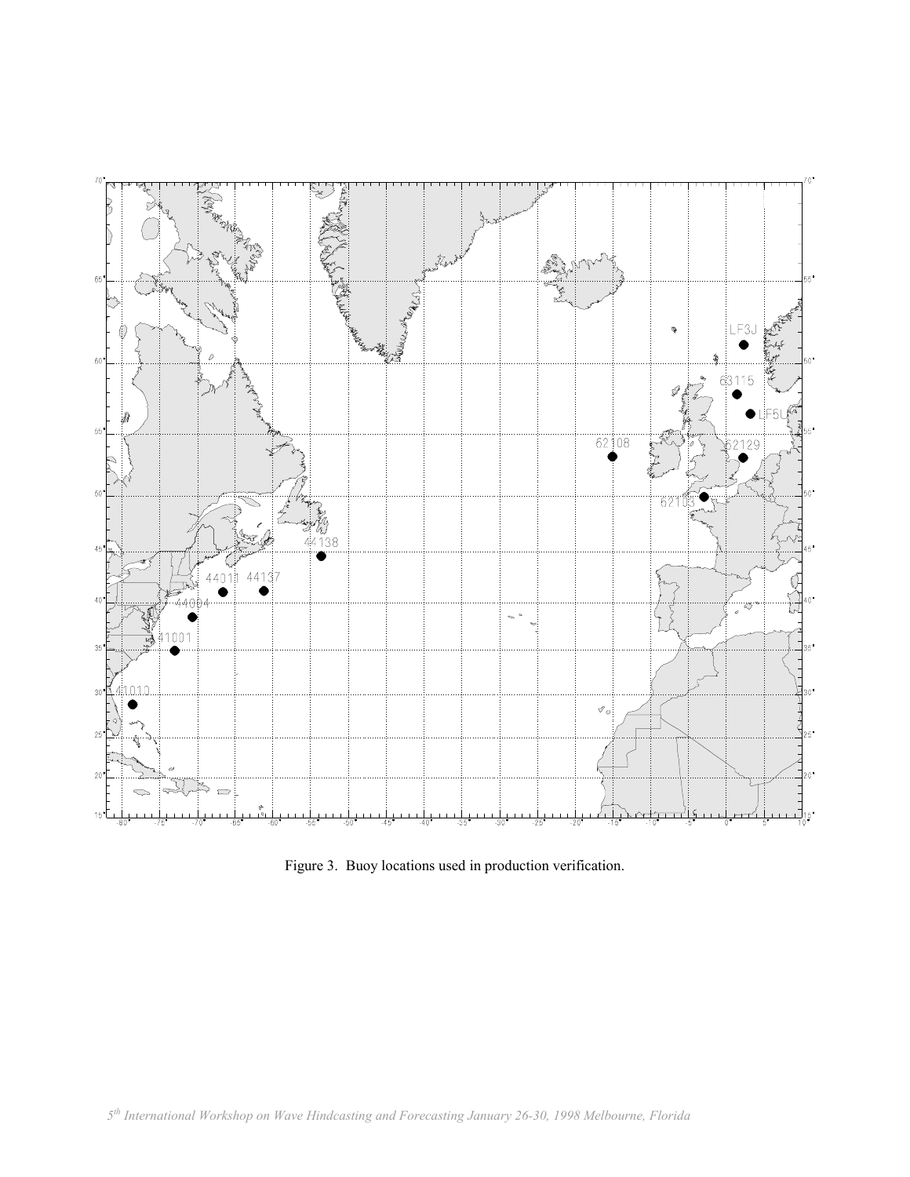

Figure 3. Buoy locations used in production verification.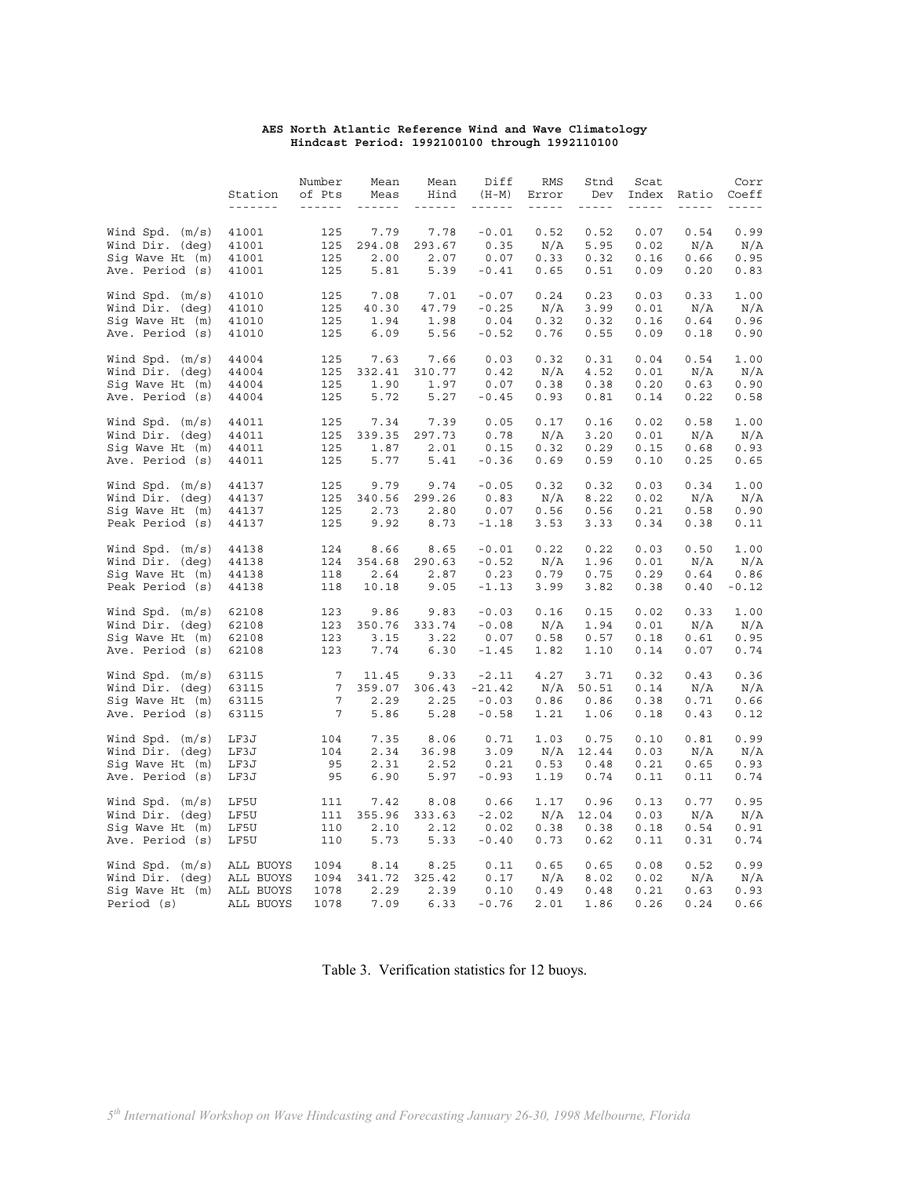#### **AES North Atlantic Reference Wind and Wave Climatology Hindcast Period: 1992100100 through 1992110100**

|                   | Station<br>------- | Number<br>of Pts<br>$\begin{array}{cccccccccc} \cdots & \cdots & \cdots & \cdots & \cdots \end{array}$ | Mean<br>Meas<br>$\begin{array}{cccccccccc} \dots & \dots & \dots & \dots & \dots \end{array}$ | Mean<br>Hind<br>$\begin{array}{cccccccccc} \cdots & \cdots & \cdots & \cdots & \cdots \end{array}$ | Diff<br>$(H-M)$<br>$\frac{1}{2} \frac{1}{2} \frac{1}{2} \frac{1}{2} \frac{1}{2} \frac{1}{2} \frac{1}{2} \frac{1}{2} \frac{1}{2} \frac{1}{2} \frac{1}{2} \frac{1}{2} \frac{1}{2} \frac{1}{2} \frac{1}{2} \frac{1}{2} \frac{1}{2} \frac{1}{2} \frac{1}{2} \frac{1}{2} \frac{1}{2} \frac{1}{2} \frac{1}{2} \frac{1}{2} \frac{1}{2} \frac{1}{2} \frac{1}{2} \frac{1}{2} \frac{1}{2} \frac{1}{2} \frac{1}{2} \frac{$ | RMS<br>Error<br>$\frac{1}{2} \frac{1}{2} \frac{1}{2} \frac{1}{2} \frac{1}{2} \frac{1}{2} \frac{1}{2} \frac{1}{2} \frac{1}{2} \frac{1}{2} \frac{1}{2} \frac{1}{2} \frac{1}{2} \frac{1}{2} \frac{1}{2} \frac{1}{2} \frac{1}{2} \frac{1}{2} \frac{1}{2} \frac{1}{2} \frac{1}{2} \frac{1}{2} \frac{1}{2} \frac{1}{2} \frac{1}{2} \frac{1}{2} \frac{1}{2} \frac{1}{2} \frac{1}{2} \frac{1}{2} \frac{1}{2} \frac{$ | Stnd<br>Dev<br>$\frac{1}{2} \frac{1}{2} \frac{1}{2} \frac{1}{2} \frac{1}{2} \frac{1}{2} \frac{1}{2} \frac{1}{2} \frac{1}{2} \frac{1}{2} \frac{1}{2} \frac{1}{2} \frac{1}{2} \frac{1}{2} \frac{1}{2} \frac{1}{2} \frac{1}{2} \frac{1}{2} \frac{1}{2} \frac{1}{2} \frac{1}{2} \frac{1}{2} \frac{1}{2} \frac{1}{2} \frac{1}{2} \frac{1}{2} \frac{1}{2} \frac{1}{2} \frac{1}{2} \frac{1}{2} \frac{1}{2} \frac{$ | Scat<br>$\frac{1}{2} \frac{1}{2} \frac{1}{2} \frac{1}{2} \frac{1}{2} \frac{1}{2} \frac{1}{2} \frac{1}{2} \frac{1}{2} \frac{1}{2} \frac{1}{2} \frac{1}{2} \frac{1}{2} \frac{1}{2} \frac{1}{2} \frac{1}{2} \frac{1}{2} \frac{1}{2} \frac{1}{2} \frac{1}{2} \frac{1}{2} \frac{1}{2} \frac{1}{2} \frac{1}{2} \frac{1}{2} \frac{1}{2} \frac{1}{2} \frac{1}{2} \frac{1}{2} \frac{1}{2} \frac{1}{2} \frac{$ | Index Ratio<br>$\omega = \omega = \omega$ | Corr<br>Coeff<br>$\frac{1}{2} \frac{1}{2} \frac{1}{2} \frac{1}{2} \frac{1}{2} \frac{1}{2} \frac{1}{2} \frac{1}{2} \frac{1}{2} \frac{1}{2} \frac{1}{2}$ |
|-------------------|--------------------|--------------------------------------------------------------------------------------------------------|-----------------------------------------------------------------------------------------------|----------------------------------------------------------------------------------------------------|-----------------------------------------------------------------------------------------------------------------------------------------------------------------------------------------------------------------------------------------------------------------------------------------------------------------------------------------------------------------------------------------------------------------|--------------------------------------------------------------------------------------------------------------------------------------------------------------------------------------------------------------------------------------------------------------------------------------------------------------------------------------------------------------------------------------------------------------|-------------------------------------------------------------------------------------------------------------------------------------------------------------------------------------------------------------------------------------------------------------------------------------------------------------------------------------------------------------------------------------------------------------|------------------------------------------------------------------------------------------------------------------------------------------------------------------------------------------------------------------------------------------------------------------------------------------------------------------------------------------------------------------------------------------------------|-------------------------------------------|--------------------------------------------------------------------------------------------------------------------------------------------------------|
|                   |                    |                                                                                                        |                                                                                               |                                                                                                    |                                                                                                                                                                                                                                                                                                                                                                                                                 |                                                                                                                                                                                                                                                                                                                                                                                                              |                                                                                                                                                                                                                                                                                                                                                                                                             |                                                                                                                                                                                                                                                                                                                                                                                                      |                                           |                                                                                                                                                        |
| Wind Spd. $(m/s)$ | 41001              | 125                                                                                                    | 7.79                                                                                          | 7.78                                                                                               | $-0.01$                                                                                                                                                                                                                                                                                                                                                                                                         | 0.52                                                                                                                                                                                                                                                                                                                                                                                                         | 0.52                                                                                                                                                                                                                                                                                                                                                                                                        | 0.07                                                                                                                                                                                                                                                                                                                                                                                                 | 0.54                                      | 0.99                                                                                                                                                   |
| Wind Dir. (deg)   | 41001              | 125                                                                                                    | 294.08                                                                                        | 293.67                                                                                             | 0.35                                                                                                                                                                                                                                                                                                                                                                                                            | N/A                                                                                                                                                                                                                                                                                                                                                                                                          | 5.95                                                                                                                                                                                                                                                                                                                                                                                                        | 0.02                                                                                                                                                                                                                                                                                                                                                                                                 | N/A                                       | N/A                                                                                                                                                    |
| Sig Wave Ht (m)   | 41001              | 125                                                                                                    | 2.00                                                                                          | 2.07                                                                                               | 0.07                                                                                                                                                                                                                                                                                                                                                                                                            | 0.33                                                                                                                                                                                                                                                                                                                                                                                                         | 0.32                                                                                                                                                                                                                                                                                                                                                                                                        | 0.16                                                                                                                                                                                                                                                                                                                                                                                                 | 0.66                                      | 0.95                                                                                                                                                   |
| Ave. Period (s)   | 41001              | 125                                                                                                    | 5.81                                                                                          | 5.39                                                                                               | $-0.41$                                                                                                                                                                                                                                                                                                                                                                                                         | 0.65                                                                                                                                                                                                                                                                                                                                                                                                         | 0.51                                                                                                                                                                                                                                                                                                                                                                                                        | 0.09                                                                                                                                                                                                                                                                                                                                                                                                 | 0.20                                      | 0.83                                                                                                                                                   |
| Wind Spd. $(m/s)$ | 41010              | 125                                                                                                    | 7.08                                                                                          | 7.01                                                                                               | $-0.07$                                                                                                                                                                                                                                                                                                                                                                                                         | 0.24                                                                                                                                                                                                                                                                                                                                                                                                         | 0.23                                                                                                                                                                                                                                                                                                                                                                                                        | 0.03                                                                                                                                                                                                                                                                                                                                                                                                 | 0.33                                      | 1.00                                                                                                                                                   |
| Wind Dir. (deg)   | 41010              | 125                                                                                                    | 40.30                                                                                         | 47.79                                                                                              | $-0.25$                                                                                                                                                                                                                                                                                                                                                                                                         | N/A                                                                                                                                                                                                                                                                                                                                                                                                          | 3.99                                                                                                                                                                                                                                                                                                                                                                                                        | 0.01                                                                                                                                                                                                                                                                                                                                                                                                 | N/A                                       | N/A                                                                                                                                                    |
| Sig Wave Ht (m)   | 41010              | 125                                                                                                    | 1.94                                                                                          | 1.98                                                                                               | 0.04                                                                                                                                                                                                                                                                                                                                                                                                            | 0.32                                                                                                                                                                                                                                                                                                                                                                                                         | 0.32                                                                                                                                                                                                                                                                                                                                                                                                        | 0.16                                                                                                                                                                                                                                                                                                                                                                                                 | 0.64                                      | 0.96                                                                                                                                                   |
| Ave. Period (s)   | 41010              | 125                                                                                                    | 6.09                                                                                          | 5.56                                                                                               | $-0.52$                                                                                                                                                                                                                                                                                                                                                                                                         | 0.76                                                                                                                                                                                                                                                                                                                                                                                                         | 0.55                                                                                                                                                                                                                                                                                                                                                                                                        | 0.09                                                                                                                                                                                                                                                                                                                                                                                                 | 0.18                                      | 0.90                                                                                                                                                   |
| Wind Spd. $(m/s)$ | 44004              | 125                                                                                                    | 7.63                                                                                          | 7.66                                                                                               | 0.03                                                                                                                                                                                                                                                                                                                                                                                                            | 0.32                                                                                                                                                                                                                                                                                                                                                                                                         | 0.31                                                                                                                                                                                                                                                                                                                                                                                                        | 0.04                                                                                                                                                                                                                                                                                                                                                                                                 | 0.54                                      | 1.00                                                                                                                                                   |
| Wind Dir. (deg)   | 44004              | 125                                                                                                    | 332.41                                                                                        | 310.77                                                                                             | 0.42                                                                                                                                                                                                                                                                                                                                                                                                            | N/A                                                                                                                                                                                                                                                                                                                                                                                                          | 4.52                                                                                                                                                                                                                                                                                                                                                                                                        | 0.01                                                                                                                                                                                                                                                                                                                                                                                                 | N/A                                       | N/A                                                                                                                                                    |
| Sig Wave Ht (m)   | 44004              | 125                                                                                                    | 1.90                                                                                          | 1.97                                                                                               | 0.07                                                                                                                                                                                                                                                                                                                                                                                                            | 0.38                                                                                                                                                                                                                                                                                                                                                                                                         | 0.38                                                                                                                                                                                                                                                                                                                                                                                                        | 0.20                                                                                                                                                                                                                                                                                                                                                                                                 | 0.63                                      | 0.90                                                                                                                                                   |
| Ave. Period (s)   | 44004              | 125                                                                                                    | 5.72                                                                                          | 5.27                                                                                               | $-0.45$                                                                                                                                                                                                                                                                                                                                                                                                         | 0.93                                                                                                                                                                                                                                                                                                                                                                                                         | 0.81                                                                                                                                                                                                                                                                                                                                                                                                        | 0.14                                                                                                                                                                                                                                                                                                                                                                                                 | 0.22                                      | 0.58                                                                                                                                                   |
| Wind Spd. $(m/s)$ | 44011              | 125                                                                                                    | 7.34                                                                                          | 7.39                                                                                               | 0.05                                                                                                                                                                                                                                                                                                                                                                                                            | 0.17                                                                                                                                                                                                                                                                                                                                                                                                         | 0.16                                                                                                                                                                                                                                                                                                                                                                                                        | 0.02                                                                                                                                                                                                                                                                                                                                                                                                 | 0.58                                      | 1.00                                                                                                                                                   |
| Wind Dir. (deg)   | 44011              | 125                                                                                                    | 339.35                                                                                        | 297.73                                                                                             | 0.78                                                                                                                                                                                                                                                                                                                                                                                                            | N/A                                                                                                                                                                                                                                                                                                                                                                                                          | 3.20                                                                                                                                                                                                                                                                                                                                                                                                        | 0.01                                                                                                                                                                                                                                                                                                                                                                                                 | N/A                                       | N/A                                                                                                                                                    |
| Sig Wave Ht (m)   | 44011              | 125                                                                                                    | 1.87                                                                                          | 2.01                                                                                               | 0.15                                                                                                                                                                                                                                                                                                                                                                                                            | 0.32                                                                                                                                                                                                                                                                                                                                                                                                         | 0.29                                                                                                                                                                                                                                                                                                                                                                                                        | 0.15                                                                                                                                                                                                                                                                                                                                                                                                 | 0.68                                      | 0.93                                                                                                                                                   |
| Ave. Period (s)   | 44011              | 125                                                                                                    | 5.77                                                                                          | 5.41                                                                                               | $-0.36$                                                                                                                                                                                                                                                                                                                                                                                                         | 0.69                                                                                                                                                                                                                                                                                                                                                                                                         | 0.59                                                                                                                                                                                                                                                                                                                                                                                                        | 0.10                                                                                                                                                                                                                                                                                                                                                                                                 | 0.25                                      | 0.65                                                                                                                                                   |
| Wind Spd. $(m/s)$ | 44137              | 125                                                                                                    | 9.79                                                                                          | 9.74                                                                                               | $-0.05$                                                                                                                                                                                                                                                                                                                                                                                                         | 0.32                                                                                                                                                                                                                                                                                                                                                                                                         | 0.32                                                                                                                                                                                                                                                                                                                                                                                                        | 0.03                                                                                                                                                                                                                                                                                                                                                                                                 | 0.34                                      | 1.00                                                                                                                                                   |
| Wind Dir. (deg)   | 44137              | 125                                                                                                    | 340.56                                                                                        | 299.26                                                                                             | 0.83                                                                                                                                                                                                                                                                                                                                                                                                            | N/A                                                                                                                                                                                                                                                                                                                                                                                                          | 8.22                                                                                                                                                                                                                                                                                                                                                                                                        | 0.02                                                                                                                                                                                                                                                                                                                                                                                                 | N/A                                       | N/A                                                                                                                                                    |
| Sig Wave Ht (m)   | 44137              | 125                                                                                                    | 2.73                                                                                          | 2.80                                                                                               | 0.07                                                                                                                                                                                                                                                                                                                                                                                                            | 0.56                                                                                                                                                                                                                                                                                                                                                                                                         | 0.56                                                                                                                                                                                                                                                                                                                                                                                                        | 0.21                                                                                                                                                                                                                                                                                                                                                                                                 | 0.58                                      | 0.90                                                                                                                                                   |
| Peak Period (s)   | 44137              | 125                                                                                                    | 9.92                                                                                          | 8.73                                                                                               | $-1.18$                                                                                                                                                                                                                                                                                                                                                                                                         | 3.53                                                                                                                                                                                                                                                                                                                                                                                                         | 3.33                                                                                                                                                                                                                                                                                                                                                                                                        | 0.34                                                                                                                                                                                                                                                                                                                                                                                                 | 0.38                                      | 0.11                                                                                                                                                   |
| Wind Spd. $(m/s)$ | 44138              | 124                                                                                                    | 8.66                                                                                          | 8.65                                                                                               | $-0.01$                                                                                                                                                                                                                                                                                                                                                                                                         | 0.22                                                                                                                                                                                                                                                                                                                                                                                                         | 0.22                                                                                                                                                                                                                                                                                                                                                                                                        | 0.03                                                                                                                                                                                                                                                                                                                                                                                                 | 0.50                                      | 1.00                                                                                                                                                   |
| Wind Dir. (deg)   | 44138              | 124                                                                                                    |                                                                                               | 354.68 290.63                                                                                      | $-0.52$                                                                                                                                                                                                                                                                                                                                                                                                         | N/A                                                                                                                                                                                                                                                                                                                                                                                                          | 1.96                                                                                                                                                                                                                                                                                                                                                                                                        | 0.01                                                                                                                                                                                                                                                                                                                                                                                                 | N/A                                       | N/A                                                                                                                                                    |
| Sig Wave Ht (m)   | 44138              | 118                                                                                                    | 2.64                                                                                          | 2.87                                                                                               | 0.23                                                                                                                                                                                                                                                                                                                                                                                                            | 0.79                                                                                                                                                                                                                                                                                                                                                                                                         | 0.75                                                                                                                                                                                                                                                                                                                                                                                                        | 0.29                                                                                                                                                                                                                                                                                                                                                                                                 | 0.64                                      | 0.86                                                                                                                                                   |
| Peak Period (s)   | 44138              | 118                                                                                                    | 10.18                                                                                         | 9.05                                                                                               | $-1.13$                                                                                                                                                                                                                                                                                                                                                                                                         | 3.99                                                                                                                                                                                                                                                                                                                                                                                                         | 3.82                                                                                                                                                                                                                                                                                                                                                                                                        | 0.38                                                                                                                                                                                                                                                                                                                                                                                                 | 0.40                                      | $-0.12$                                                                                                                                                |
| Wind Spd. $(m/s)$ | 62108              | 123                                                                                                    | 9.86                                                                                          | 9.83                                                                                               | $-0.03$                                                                                                                                                                                                                                                                                                                                                                                                         | 0.16                                                                                                                                                                                                                                                                                                                                                                                                         | 0.15                                                                                                                                                                                                                                                                                                                                                                                                        | 0.02                                                                                                                                                                                                                                                                                                                                                                                                 | 0.33                                      | 1.00                                                                                                                                                   |
| Wind Dir. (deg)   | 62108              | 123                                                                                                    | 350.76                                                                                        | 333.74                                                                                             | $-0.08$                                                                                                                                                                                                                                                                                                                                                                                                         | N/A                                                                                                                                                                                                                                                                                                                                                                                                          | 1.94                                                                                                                                                                                                                                                                                                                                                                                                        | 0.01                                                                                                                                                                                                                                                                                                                                                                                                 | N/A                                       | N/A                                                                                                                                                    |
| Sig Wave Ht (m)   | 62108              | 123                                                                                                    | 3.15                                                                                          | 3.22                                                                                               | 0.07                                                                                                                                                                                                                                                                                                                                                                                                            | 0.58                                                                                                                                                                                                                                                                                                                                                                                                         | 0.57                                                                                                                                                                                                                                                                                                                                                                                                        | 0.18                                                                                                                                                                                                                                                                                                                                                                                                 | 0.61                                      | 0.95                                                                                                                                                   |
| Ave. Period (s)   | 62108              | 123                                                                                                    | 7.74                                                                                          | 6.30                                                                                               | $-1.45$                                                                                                                                                                                                                                                                                                                                                                                                         | 1.82                                                                                                                                                                                                                                                                                                                                                                                                         | 1.10                                                                                                                                                                                                                                                                                                                                                                                                        | 0.14                                                                                                                                                                                                                                                                                                                                                                                                 | 0.07                                      | 0.74                                                                                                                                                   |
| Wind Spd. $(m/s)$ | 63115              | $7\phantom{.0}$                                                                                        | 11.45                                                                                         | 9.33                                                                                               | $-2.11$                                                                                                                                                                                                                                                                                                                                                                                                         | 4.27                                                                                                                                                                                                                                                                                                                                                                                                         | 3.71                                                                                                                                                                                                                                                                                                                                                                                                        | 0.32                                                                                                                                                                                                                                                                                                                                                                                                 | 0.43                                      | 0.36                                                                                                                                                   |
| Wind Dir. (deg)   | 63115              | 7                                                                                                      | 359.07                                                                                        | 306.43                                                                                             | $-21.42$                                                                                                                                                                                                                                                                                                                                                                                                        | N/A                                                                                                                                                                                                                                                                                                                                                                                                          | 50.51                                                                                                                                                                                                                                                                                                                                                                                                       | 0.14                                                                                                                                                                                                                                                                                                                                                                                                 | N/A                                       | N/A                                                                                                                                                    |
| Sig Wave Ht (m)   | 63115              | $7\overline{ }$                                                                                        | 2.29                                                                                          | 2.25                                                                                               | $-0.03$                                                                                                                                                                                                                                                                                                                                                                                                         | 0.86                                                                                                                                                                                                                                                                                                                                                                                                         | 0.86                                                                                                                                                                                                                                                                                                                                                                                                        | 0.38                                                                                                                                                                                                                                                                                                                                                                                                 | 0.71                                      | 0.66                                                                                                                                                   |
| Ave. Period (s)   | 63115              | $7\phantom{.0}$                                                                                        | 5.86                                                                                          | 5.28                                                                                               | $-0.58$                                                                                                                                                                                                                                                                                                                                                                                                         | 1.21                                                                                                                                                                                                                                                                                                                                                                                                         | 1.06                                                                                                                                                                                                                                                                                                                                                                                                        | 0.18                                                                                                                                                                                                                                                                                                                                                                                                 | 0.43                                      | 0.12                                                                                                                                                   |
| Wind Spd. $(m/s)$ | LF3J               | 104                                                                                                    | 7.35                                                                                          | 8.06                                                                                               | 0.71                                                                                                                                                                                                                                                                                                                                                                                                            | 1.03                                                                                                                                                                                                                                                                                                                                                                                                         | 0.75                                                                                                                                                                                                                                                                                                                                                                                                        | 0.10                                                                                                                                                                                                                                                                                                                                                                                                 | 0.81                                      | 0.99                                                                                                                                                   |
| Wind Dir. (deg)   | LF3J               | 104                                                                                                    | 2.34                                                                                          | 36.98                                                                                              | 3.09                                                                                                                                                                                                                                                                                                                                                                                                            |                                                                                                                                                                                                                                                                                                                                                                                                              | $N/A$ 12.44                                                                                                                                                                                                                                                                                                                                                                                                 | 0.03                                                                                                                                                                                                                                                                                                                                                                                                 | N/A                                       | N/A                                                                                                                                                    |
| Sig Wave Ht (m)   | LF3J               | 95                                                                                                     | 2.31                                                                                          | 2.52                                                                                               | 0.21                                                                                                                                                                                                                                                                                                                                                                                                            | 0.53                                                                                                                                                                                                                                                                                                                                                                                                         | 0.48                                                                                                                                                                                                                                                                                                                                                                                                        | 0.21                                                                                                                                                                                                                                                                                                                                                                                                 | 0.65                                      | 0.93                                                                                                                                                   |
| Ave. Period (s)   | LF3J               | 95                                                                                                     | 6.90                                                                                          | 5.97                                                                                               | $-0.93$                                                                                                                                                                                                                                                                                                                                                                                                         | 1.19                                                                                                                                                                                                                                                                                                                                                                                                         | 0.74                                                                                                                                                                                                                                                                                                                                                                                                        | 0.11                                                                                                                                                                                                                                                                                                                                                                                                 | 0.11                                      | 0.74                                                                                                                                                   |
| Wind Spd. $(m/s)$ | LF5U               | 111                                                                                                    | 7.42                                                                                          | 8.08                                                                                               | 0.66                                                                                                                                                                                                                                                                                                                                                                                                            | 1.17                                                                                                                                                                                                                                                                                                                                                                                                         | 0.96                                                                                                                                                                                                                                                                                                                                                                                                        | 0.13                                                                                                                                                                                                                                                                                                                                                                                                 | 0.77                                      | 0.95                                                                                                                                                   |
| Wind Dir. (deg)   | LF5U               | 111                                                                                                    | 355.96                                                                                        | 333.63                                                                                             | $-2.02$                                                                                                                                                                                                                                                                                                                                                                                                         | $\rm N/A$                                                                                                                                                                                                                                                                                                                                                                                                    | 12.04                                                                                                                                                                                                                                                                                                                                                                                                       | 0.03                                                                                                                                                                                                                                                                                                                                                                                                 | N/A                                       | N/A                                                                                                                                                    |
| Sig Wave Ht (m)   | LF5U               | 110                                                                                                    | 2.10                                                                                          | 2.12                                                                                               | 0.02                                                                                                                                                                                                                                                                                                                                                                                                            | 0.38                                                                                                                                                                                                                                                                                                                                                                                                         | 0.38                                                                                                                                                                                                                                                                                                                                                                                                        | 0.18                                                                                                                                                                                                                                                                                                                                                                                                 | 0.54                                      | 0.91                                                                                                                                                   |
| Ave. Period (s)   | LF5U               | 110                                                                                                    | 5.73                                                                                          | 5.33                                                                                               | $-0.40$                                                                                                                                                                                                                                                                                                                                                                                                         | 0.73                                                                                                                                                                                                                                                                                                                                                                                                         | 0.62                                                                                                                                                                                                                                                                                                                                                                                                        | 0.11                                                                                                                                                                                                                                                                                                                                                                                                 | 0.31                                      | 0.74                                                                                                                                                   |
| Wind Spd. $(m/s)$ | ALL BUOYS          | 1094                                                                                                   | 8.14                                                                                          | 8.25                                                                                               | 0.11                                                                                                                                                                                                                                                                                                                                                                                                            | 0.65                                                                                                                                                                                                                                                                                                                                                                                                         | 0.65                                                                                                                                                                                                                                                                                                                                                                                                        | 0.08                                                                                                                                                                                                                                                                                                                                                                                                 | 0.52                                      | 0.99                                                                                                                                                   |
| Wind Dir. (deg)   | ALL BUOYS          | 1094                                                                                                   | 341.72                                                                                        | 325.42                                                                                             | 0.17                                                                                                                                                                                                                                                                                                                                                                                                            | $\rm N/A$                                                                                                                                                                                                                                                                                                                                                                                                    | 8.02                                                                                                                                                                                                                                                                                                                                                                                                        | 0.02                                                                                                                                                                                                                                                                                                                                                                                                 | N/A                                       | N/A                                                                                                                                                    |
| Sig Wave Ht (m)   | ALL BUOYS          | 1078                                                                                                   | 2.29                                                                                          | 2.39                                                                                               | 0.10                                                                                                                                                                                                                                                                                                                                                                                                            | 0.49                                                                                                                                                                                                                                                                                                                                                                                                         | 0.48                                                                                                                                                                                                                                                                                                                                                                                                        | 0.21                                                                                                                                                                                                                                                                                                                                                                                                 | 0.63                                      | 0.93                                                                                                                                                   |
| Period (s)        | ALL BUOYS          | 1078                                                                                                   | 7.09                                                                                          | 6.33                                                                                               | $-0.76$                                                                                                                                                                                                                                                                                                                                                                                                         | 2.01                                                                                                                                                                                                                                                                                                                                                                                                         | 1.86                                                                                                                                                                                                                                                                                                                                                                                                        | 0.26                                                                                                                                                                                                                                                                                                                                                                                                 | 0.24                                      | 0.66                                                                                                                                                   |

Table 3. Verification statistics for 12 buoys.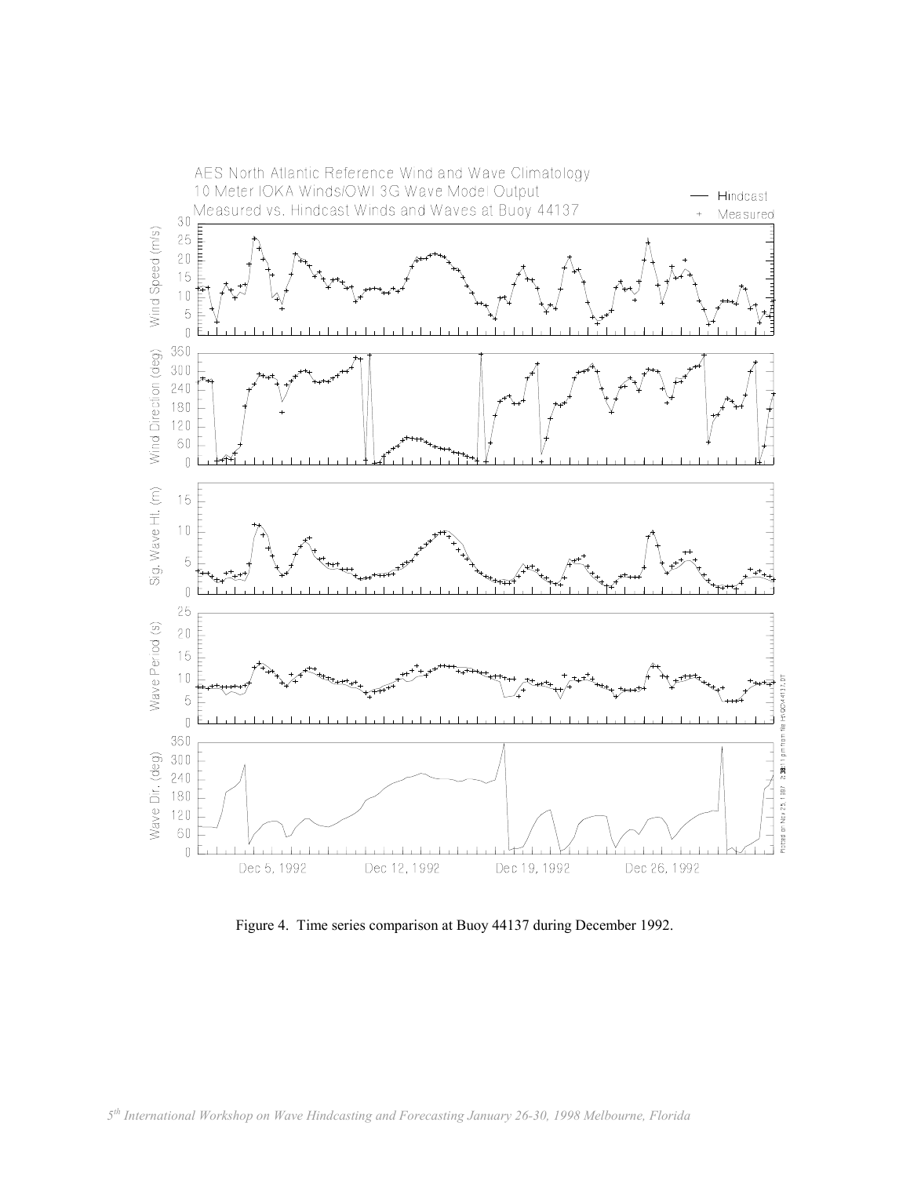

Figure 4. Time series comparison at Buoy 44137 during December 1992.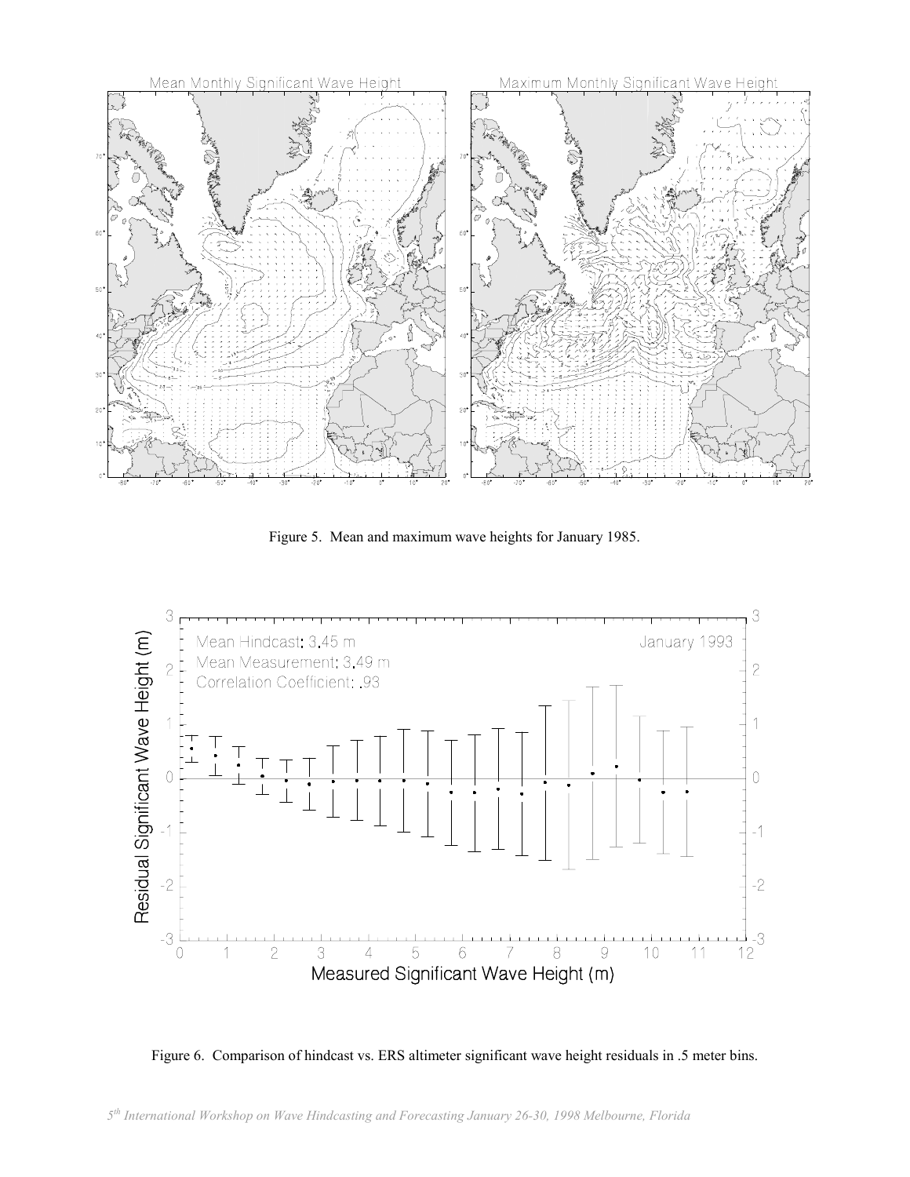

Figure 5. Mean and maximum wave heights for January 1985.



Figure 6. Comparison of hindcast vs. ERS altimeter significant wave height residuals in .5 meter bins.